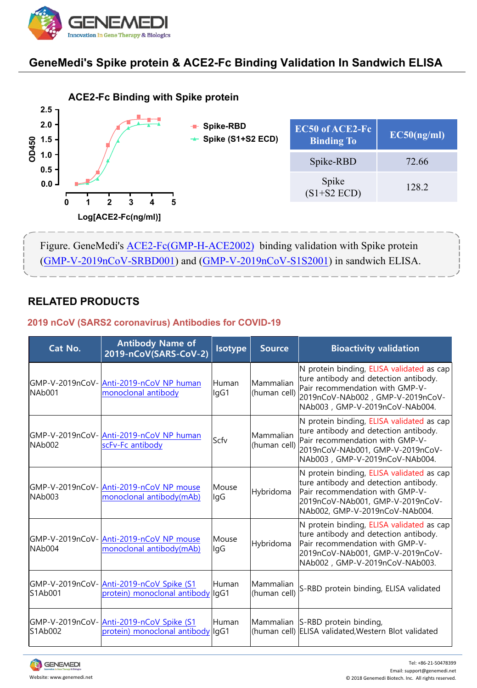

## **GeneMedi's Spike protein & ACE2-Fc Binding Validation In Sandwich ELISA**



### **RELATED PRODUCTS**

#### **2019 nCoV (SARS2 coronavirus) Antibodies for COVID-19**

|                                                                                                                                                             | Log[ACE2-Fc(ng/ml)]                                                          |                |                           |                                                                                                                                                                                             |  |  |  |  |
|-------------------------------------------------------------------------------------------------------------------------------------------------------------|------------------------------------------------------------------------------|----------------|---------------------------|---------------------------------------------------------------------------------------------------------------------------------------------------------------------------------------------|--|--|--|--|
| Figure. GeneMedi's ACE2-Fc(GMP-H-ACE2002) binding validation with Spike protein<br>(GMP-V-2019nCoV-SRBD001) and (GMP-V-2019nCoV-S1S2001) in sandwich ELISA. |                                                                              |                |                           |                                                                                                                                                                                             |  |  |  |  |
| <b>RELATED PRODUCTS</b><br>2019 nCoV (SARS2 coronavirus) Antibodies for COVID-19                                                                            |                                                                              |                |                           |                                                                                                                                                                                             |  |  |  |  |
| Cat No.                                                                                                                                                     | <b>Antibody Name of</b><br>2019-nCoV(SARS-CoV-2)                             | <b>Isotype</b> | <b>Source</b>             | <b>Bioactivity validation</b>                                                                                                                                                               |  |  |  |  |
| NAb001                                                                                                                                                      | GMP-V-2019nCoV-Anti-2019-nCoV NP human<br>monoclonal antibody                | Human<br>IgG1  | Mammalian<br>(human cell) | N protein binding, ELISA validated as cap<br>ture antibody and detection antibody.<br>Pair recommendation with GMP-V-<br>2019nCoV-NAb002, GMP-V-2019nCoV-<br>NAb003, GMP-V-2019nCoV-NAb004. |  |  |  |  |
| NAb002                                                                                                                                                      | GMP-V-2019nCoV- Anti-2019-nCoV NP human<br>scFv-Fc antibody                  | Scfv           | Mammalian<br>(human cell) | N protein binding, ELISA validated as cap<br>ture antibody and detection antibody.<br>Pair recommendation with GMP-V-<br>2019nCoV-NAb001, GMP-V-2019nCoV-<br>NAb003, GMP-V-2019nCoV-NAb004. |  |  |  |  |
| NAb <sub>003</sub>                                                                                                                                          | GMP-V-2019nCoV- Anti-2019-nCoV NP mouse<br>monoclonal antibody(mAb)          | Mouse<br>IgG   | Hybridoma                 | N protein binding, ELISA validated as cap<br>ture antibody and detection antibody.<br>Pair recommendation with GMP-V-<br>2019nCoV-NAb001, GMP-V-2019nCoV-<br>NAb002, GMP-V-2019nCoV-NAb004. |  |  |  |  |
| NAb004                                                                                                                                                      | GMP-V-2019nCoV-Anti-2019-nCoV NP mouse<br>monoclonal antibody(mAb)           | Mouse<br>lgG   | Hybridoma                 | N protein binding, ELISA validated as cap<br>ture antibody and detection antibody.<br>Pair recommendation with GMP-V-<br>2019nCoV-NAb001, GMP-V-2019nCoV-<br>NAb002, GMP-V-2019nCoV-NAb003. |  |  |  |  |
| S1Ab001                                                                                                                                                     | GMP-V-2019nCoV-Anti-2019-nCoV Spike (S1<br>protein) monoclonal antibody      | Human<br>lgG1  | Mammalian<br>(human cell) | S-RBD protein binding, ELISA validated                                                                                                                                                      |  |  |  |  |
| S1Ab002                                                                                                                                                     | GMP-V-2019nCoV-Anti-2019-nCoV Spike (S1<br>protein) monoclonal antibody IgG1 | Human          |                           | Mammalian S-RBD protein binding,<br>(human cell) ELISA validated, Western Blot validated                                                                                                    |  |  |  |  |

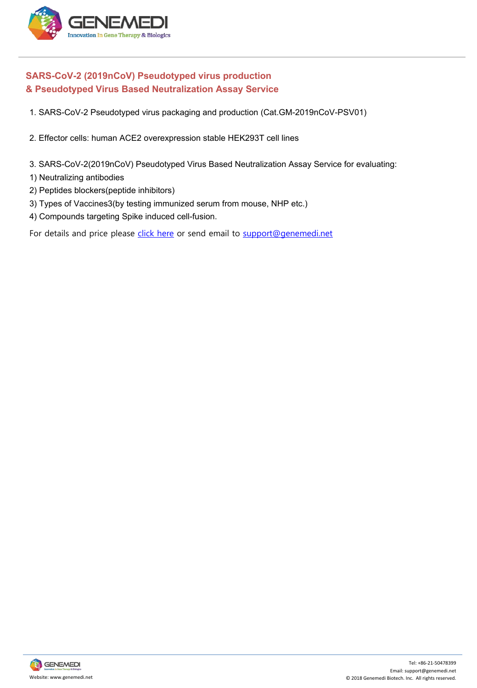

# **SARS-CoV-2 (2019nCoV) Pseudotyped virus production & Pseudotyped Virus Based Neutralization Assay Service** 1. SARS-CoV-2 (2019nCoV) Pseudotyped virus production<br>
1. SARS-CoV-2 (2019nCoV) Pseudotyped virus production<br>
1. SARS-CoV-2 Pseudotyped virus packaging and production (Cat.GM-2019nCoV-PSV01)<br>
2. Effector cells: human ACE2 ENEMEDI<br>
2. Effector Cover (2019 nCover)<br>
2. Effector cells: human ACE2 overexpression stable HEK293T cell lines<br>
2. Effector cells: human ACE2 overexpression stable HEK293T cell lines<br>
3. SARS-Cov-2(2019 nCoverexpression SARS-CoV-2 (2019nCoV) Pseudotyped virus production<br>
Mack Pseudotyped Virus Based Neutralization Assay Service<br>
1. SARS-CoV-2 Pseudotyped virus packaging and production (Cat.GM-2019nCoV-PSV01)<br>
2. Effector cells: human ACE2 SARS-CoV-2 (2019nCoV) Pseudotyped v<br>
SARS-CoV-2 Pseudotyped virus packaging<br>
1. SARS-CoV-2 Pseudotyped virus packaging<br>
2. Effector cells: human ACE2 overexpression<br>
3. SARS-CoV-2(2019nCoV) Pseudotyped Virus<br>
1) Neutralizi  $\lambda$  Pseudotyped Virus Based Neutralization As<br>
2. Pseudotyped Virus Based Neutralization As<br>
1. SARS-CoV-2 Pseudotyped virus packaging and provided virus Base<br>
2. Effector cells: human ACE2 overexpression stable<br>
3. SARS 3)Types of Vaccines3(by testing immunized serum from mouse, NHP etc.)<br>3) Types of Vaccines of Vaccines packaging and production (Cat.GM-2019nCoV-PSV0<br>3) Types of Vaccines3(by testing immunized serum from mouse, NHP etc.)<br>

1. SARS-CoV-2 Pseudotyped virus packaging and production<br>2. Effector cells: human ACE2 overexpression stable HEK293<sup>-</sup><br>3. SARS-CoV-2(2019nCoV) Pseudotyped Virus Based Neutral<br>1) Neutralizing antibodies<br>2) Peptides blockers

- 
- 
- 
- 
- 
- 

For details and price please click here or send email to support@genemedi.net

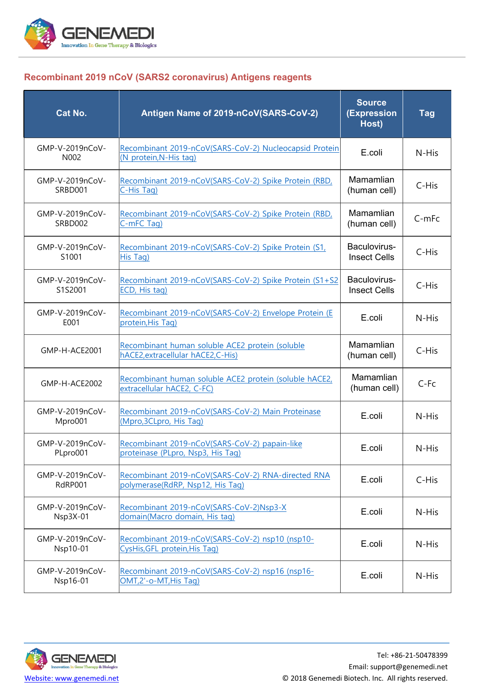

#### **Recombinant 2019 nCoV (SARS2 coronavirus) Antigens reagents**

| <b>Cat No.</b>                     | Antigen Name of 2019-nCoV(SARS-CoV-2)                                                  | <b>Source</b><br>(Expression<br>Host) | <b>Tag</b> |
|------------------------------------|----------------------------------------------------------------------------------------|---------------------------------------|------------|
| GMP-V-2019nCoV-<br>N002            | Recombinant 2019-nCoV(SARS-CoV-2) Nucleocapsid Protein<br>(N protein, N-His tag)       | E.coli                                | N-His      |
| GMP-V-2019nCoV-<br>SRBD001         | Recombinant 2019-nCoV(SARS-CoV-2) Spike Protein (RBD,<br>C-His Tag)                    | Mamamlian<br>(human cell)             | C-His      |
| GMP-V-2019nCoV-<br>SRBD002         | Recombinant 2019-nCoV(SARS-CoV-2) Spike Protein (RBD,<br>C-mFC Tag)                    | Mamamlian<br>(human cell)             | C-mFc      |
| GMP-V-2019nCoV-<br>S1001           | Recombinant 2019-nCoV(SARS-CoV-2) Spike Protein (S1,<br>His Tag)                       | Baculovirus-<br><b>Insect Cells</b>   | C-His      |
| GMP-V-2019nCoV-<br>S1S2001         | Recombinant 2019-nCoV(SARS-CoV-2) Spike Protein (S1+S2<br>ECD, His tag)                | Baculovirus-<br><b>Insect Cells</b>   | C-His      |
| GMP-V-2019nCoV-<br>E001            | Recombinant 2019-nCoV(SARS-CoV-2) Envelope Protein (E<br>protein, His Tag)             | E.coli                                | N-His      |
| GMP-H-ACE2001                      | Recombinant human soluble ACE2 protein (soluble<br>hACE2, extracellular hACE2, C-His)  | Mamamlian<br>(human cell)             | C-His      |
| GMP-H-ACE2002                      | Recombinant human soluble ACE2 protein (soluble hACE2,<br>extracellular hACE2, C-FC)   | Mamamlian<br>(human cell)             | C-Fc       |
| GMP-V-2019nCoV-<br>Mpro001         | Recombinant 2019-nCoV(SARS-CoV-2) Main Proteinase<br>(Mpro, 3CLpro, His Taq)           | E.coli                                | N-His      |
| GMP-V-2019nCoV-<br>PLpro001        | Recombinant 2019-nCoV(SARS-CoV-2) papain-like<br>proteinase (PLpro, Nsp3, His Tag)     | E.coli                                | N-His      |
| GMP-V-2019nCoV-<br>RdRP001         | Recombinant 2019-nCoV(SARS-CoV-2) RNA-directed RNA<br>polymerase(RdRP, Nsp12, His Tag) | E.coli                                | C-His      |
| GMP-V-2019nCoV-<br><b>Nsp3X-01</b> | Recombinant 2019-nCoV(SARS-CoV-2)Nsp3-X<br>domain(Macro domain, His tag)               | E.coli                                | N-His      |
| GMP-V-2019nCoV-<br>Nsp10-01        | Recombinant 2019-nCoV(SARS-CoV-2) nsp10 (nsp10-<br>CysHis, GFL protein, His Taq)       | E.coli                                | N-His      |
| GMP-V-2019nCoV-<br>Nsp16-01        | Recombinant 2019-nCoV(SARS-CoV-2) nsp16 (nsp16-<br>OMT,2'-o-MT,His Tag)                | E.coli                                | N-His      |

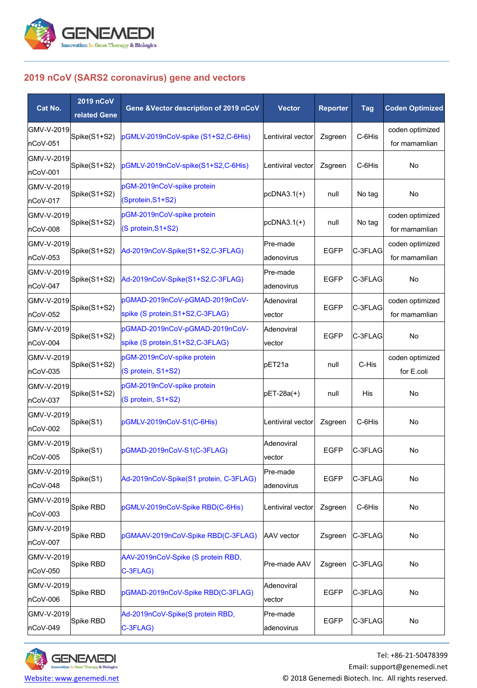

#### **2019 nCoV (SARS2 coronavirus) gene and vectors**

| Cat No.                       | 2019 nCoV<br>related Gene | Gene &Vector description of 2019 nCoV                               | <b>Vector</b>           | <b>Reporter</b> | <b>Tag</b> | <b>Coden Optimized</b>           |
|-------------------------------|---------------------------|---------------------------------------------------------------------|-------------------------|-----------------|------------|----------------------------------|
| GMV-V-2019 <br>nCoV-051       | Spike(S1+S2)              | pGMLV-2019nCoV-spike (S1+S2,C-6His)                                 | Lentiviral vector       | Zsgreen         | C-6His     | coden optimized<br>for mamamlian |
| GMV-V-2019<br>nCoV-001        | Spike(S1+S2)              | pGMLV-2019nCoV-spike(S1+S2,C-6His)                                  | Lentiviral vector       | Zsgreen         | C-6His     | No                               |
| GMV-V-2019<br>nCoV-017        | Spike(S1+S2)              | pGM-2019nCoV-spike protein<br>(Sprotein, S1+S2)                     | $pCDNA3.1(+)$           | null            | No tag     | No                               |
| GMV-V-2019<br>nCoV-008        | Spike(S1+S2)              | pGM-2019nCoV-spike protein<br>(S protein, S1+S2)                    | $pcDNA3.1(+)$           | null            | No tag     | coden optimized<br>for mamamlian |
| GMV-V-2019<br>nCoV-053        | Spike(S1+S2)              | Ad-2019nCoV-Spike(S1+S2,C-3FLAG)                                    | Pre-made<br>ladenovirus | <b>EGFP</b>     | C-3FLAG    | coden optimized<br>for mamamlian |
| GMV-V-2019<br>nCoV-047        | Spike(S1+S2)              | Ad-2019nCoV-Spike(S1+S2,C-3FLAG)                                    | Pre-made<br>adenovirus  | <b>EGFP</b>     | C-3FLAG    | No                               |
| GMV-V-2019<br>nCoV-052        | Spike(S1+S2)              | pGMAD-2019nCoV-pGMAD-2019nCoV-<br>spike (S protein, S1+S2, C-3FLAG) | Adenoviral<br>vector    | <b>EGFP</b>     | C-3FLAG    | coden optimized<br>for mamamlian |
| GMV-V-2019<br>nCoV-004        | Spike(S1+S2)              | pGMAD-2019nCoV-pGMAD-2019nCoV-<br>spike (S protein, S1+S2, C-3FLAG) | Adenoviral<br>vector    | <b>EGFP</b>     | C-3FLAG    | No                               |
| GMV-V-2019<br>nCoV-035        | Spike(S1+S2)              | pGM-2019nCoV-spike protein<br>(S protein, S1+S2)                    | pET21a                  | null            | C-His      | coden optimized<br>for E.coli    |
| GMV-V-2019<br>nCoV-037        | Spike(S1+S2)              | pGM-2019nCoV-spike protein<br>(S protein, S1+S2)                    | pET-28a(+)              | null            | His        | No                               |
| GMV-V-2019<br>nCoV-002        | Spike(S1)                 | pGMLV-2019nCoV-S1(C-6His)                                           | Lentiviral vector       | Zsgreen         | C-6His     | No                               |
| GMV-V-2019<br>nCoV-005        | Spike(S1)                 | pGMAD-2019nCoV-S1(C-3FLAG)                                          | Adenoviral<br>vector    | <b>EGFP</b>     | C-3FLAG    | No                               |
| GMV-V-2019<br>nCoV-048        | Spike(S1)                 | Ad-2019nCoV-Spike(S1 protein, C-3FLAG)                              | Pre-made<br>ladenovirus | <b>EGFP</b>     | C-3FLAG    | No                               |
| <b>GMV-V-2019</b><br>nCoV-003 | Spike RBD                 | pGMLV-2019nCoV-Spike RBD(C-6His)                                    | Lentiviral vector       | Zsgreen         | C-6His     | No                               |
| GMV-V-2019 <br>nCoV-007       | Spike RBD                 | pGMAAV-2019nCoV-Spike RBD(C-3FLAG)                                  | <b>AAV</b> vector       | Zsgreen         | C-3FLAG    | No                               |
| GMV-V-2019<br>nCoV-050        | Spike RBD                 | AAV-2019nCoV-Spike (S protein RBD,<br>C-3FLAG)                      | Pre-made AAV            | Zsgreen         | C-3FLAG    | No                               |
| GMV-V-2019<br>nCoV-006        | Spike RBD                 | pGMAD-2019nCoV-Spike RBD(C-3FLAG)                                   | Adenoviral<br>vector    | EGFP            | C-3FLAG    | No                               |
| GMV-V-2019<br>nCoV-049        | Spike RBD                 | Ad-2019nCoV-Spike(S protein RBD,<br>C-3FLAG)                        | Pre-made<br>adenovirus  | <b>EGFP</b>     | C-3FLAG    | No                               |

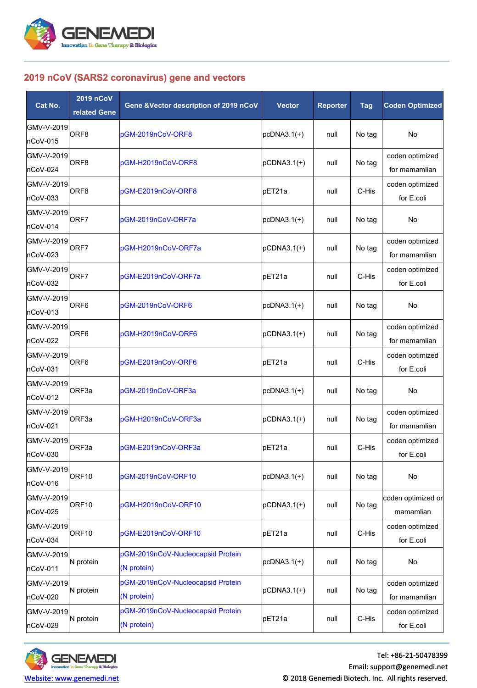

#### **2019 nCoV (SARS2 coronavirus) gene and vectors**

| 2019 nCoV (SARS2 coronavirus) gene and vectors |                           |                                                  |                 |                 |            |                                  |  |
|------------------------------------------------|---------------------------|--------------------------------------------------|-----------------|-----------------|------------|----------------------------------|--|
| Cat No.                                        | 2019 nCoV<br>related Gene | Gene &Vector description of 2019 nCoV            | <b>Vector</b>   | <b>Reporter</b> | <b>Tag</b> | <b>Coden Optimized</b>           |  |
| GMV-V-2019<br>nCoV-015                         | ORF <sub>8</sub>          | pGM-2019nCoV-ORF8                                | $pCDNA3.1(+)$   | null            | No tag     | No                               |  |
| GMV-V-2019<br>nCoV-024                         | ORF <sub>8</sub>          | pGM-H2019nCoV-ORF8                               | $pCDNA3.1(+)$   | null            | No tag     | coden optimized<br>for mamamlian |  |
| GMV-V-2019<br>nCoV-033                         | ORF <sub>8</sub>          | pGM-E2019nCoV-ORF8                               | pET21a          | null            | C-His      | coden optimized<br>for E.coli    |  |
| GMV-V-2019<br>nCoV-014                         | ORF7                      | pGM-2019nCoV-ORF7a                               | $pCDNA3.1(+)$   | null            | No tag     | No                               |  |
| GMV-V-2019<br>nCoV-023                         | ORF7                      | pGM-H2019nCoV-ORF7a                              | $pCDNA3.1(+)$   | null            | No tag     | coden optimized<br>for mamamlian |  |
| GMV-V-2019<br>nCoV-032                         | ORF7                      | pGM-E2019nCoV-ORF7a                              | pET21a          | null            | C-His      | coden optimized<br>for E.coli    |  |
| GMV-V-2019<br>nCoV-013                         | ORF <sub>6</sub>          | pGM-2019nCoV-ORF6                                | $pCDNA3.1(+)$   | null            | No tag     | No                               |  |
| GMV-V-2019<br>nCoV-022                         | ORF <sub>6</sub>          | pGM-H2019nCoV-ORF6                               | $pCDNA3.1(+)$   | null            | No tag     | coden optimized<br>for mamamlian |  |
| GMV-V-2019<br>nCoV-031                         | ORF <sub>6</sub>          | pGM-E2019nCoV-ORF6                               | pET21a          | null            | C-His      | coden optimized<br>for E.coli    |  |
| GMV-V-2019<br>nCoV-012                         | ORF3a                     | pGM-2019nCoV-ORF3a                               | $pCDNA3.1(+)$   | null            | No tag     | No                               |  |
| GMV-V-2019<br>nCoV-021                         | ORF3a                     | pGM-H2019nCoV-ORF3a                              | $pCDNA3.1(+)$   | null            | No tag     | coden optimized<br>for mamamlian |  |
| GMV-V-2019<br>nCoV-030                         | ORF3a                     | pGM-E2019nCoV-ORF3a                              | pET21a          | null            | C-His      | coden optimized<br>for E.coli    |  |
| GMV-V-2019<br>nCoV-016                         | ORF <sub>10</sub>         | pGM-2019nCoV-ORF10                               | $pCDNA3.1(+)$   | null            | No tag     | No                               |  |
| GMV-V-2019<br>nCoV-025                         | ORF <sub>10</sub>         | pGM-H2019nCoV-ORF10                              | $pCDNA3.1(+)$   | null            | No tag     | coden optimized or<br>mamamlian  |  |
| GMV-V-2019<br>nCoV-034                         | ORF <sub>10</sub>         | pGM-E2019nCoV-ORF10                              | pET21a          | null            | C-His      | coden optimized<br>for E.coli    |  |
| GMV-V-2019<br>nCoV-011                         | N protein                 | pGM-2019nCoV-Nucleocapsid Protein<br>(N protein) | $pCDNA3.1(+)$   | null            | No tag     | No                               |  |
| GMV-V-2019<br>nCoV-020                         | N protein                 | pGM-2019nCoV-Nucleocapsid Protein<br>(N protein) | $ pCDNA3.1(+) $ | null            | No tag     | coden optimized<br>for mamamlian |  |
| GMV-V-2019<br>nCoV-029                         | N protein                 | pGM-2019nCoV-Nucleocapsid Protein<br>(N protein) | pET21a          | null            | C-His      | coden optimized<br>for E.coli    |  |